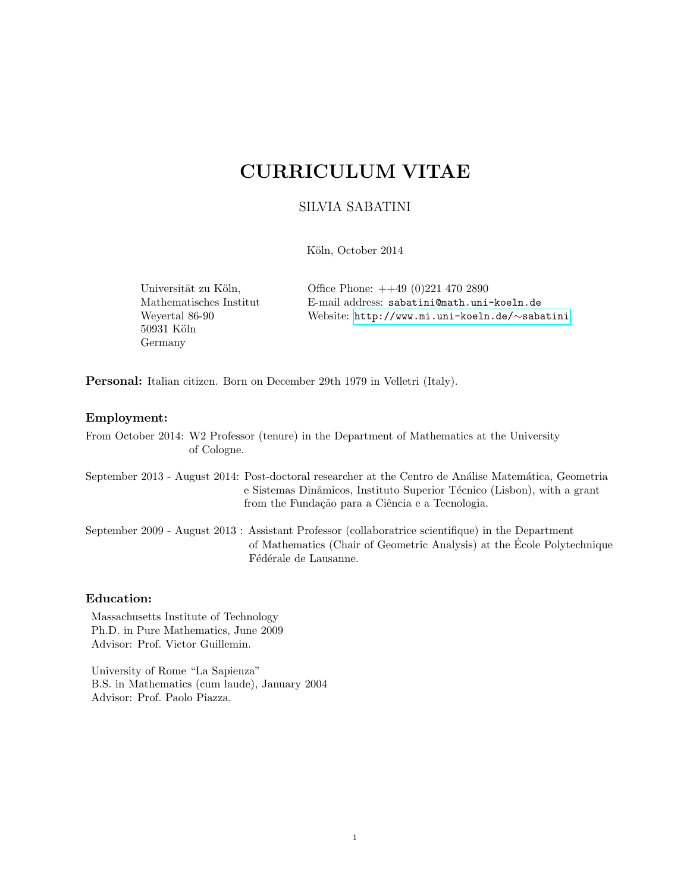# CURRICULUM VITAE

## SILVIA SABATINI

Köln, October 2014

 $50931$ Köln Germany

Universität zu Köln,  $\qquad \qquad$  Office Phone:  $++49(0)2214702890$ Mathematisches Institut E-mail address: sabatini@math.uni-koeln.de Weyertal 86-90 Website: [http://www.mi.uni-koeln.de/](http://www.mi.uni-koeln.de/~sabatini)∼sabatini

Personal: Italian citizen. Born on December 29th 1979 in Velletri (Italy).

#### Employment:

From October 2014: W2 Professor (tenure) in the Department of Mathematics at the University of Cologne.

September 2013 - August 2014: Post-doctoral researcher at the Centro de Análise Matemática, Geometria e Sistemas Dinâmicos, Instituto Superior Técnico (Lisbon), with a grant from the Fundação para a Ciência e a Tecnologia.

September 2009 - August 2013 : Assistant Professor (collaboratrice scientifique) in the Department of Mathematics (Chair of Geometric Analysis) at the Ecole Polytechnique ´ Fédérale de Lausanne.

#### Education:

Massachusetts Institute of Technology Ph.D. in Pure Mathematics, June 2009 Advisor: Prof. Victor Guillemin.

University of Rome "La Sapienza" B.S. in Mathematics (cum laude), January 2004 Advisor: Prof. Paolo Piazza.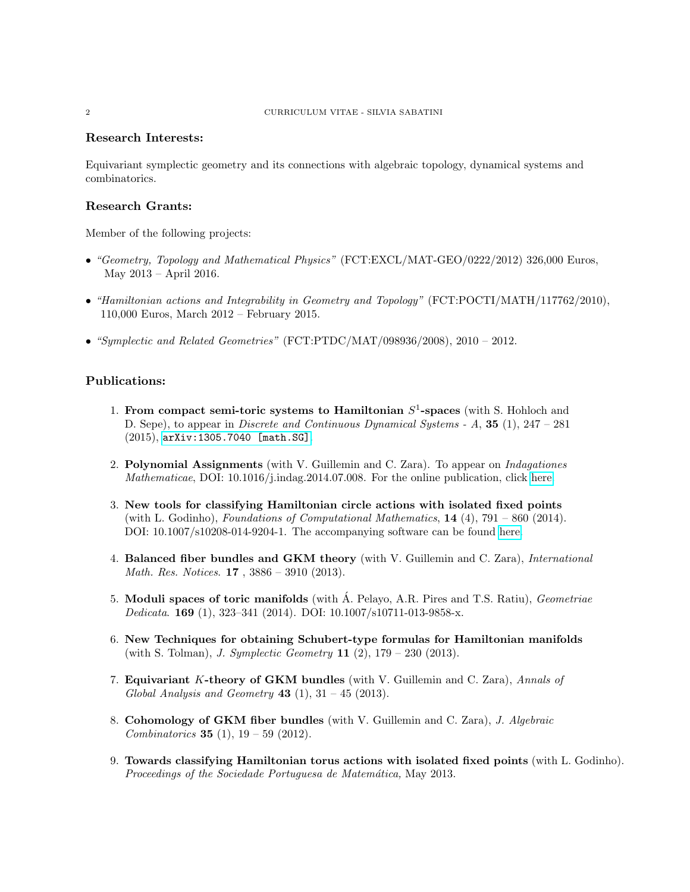#### Research Interests:

Equivariant symplectic geometry and its connections with algebraic topology, dynamical systems and combinatorics.

#### Research Grants:

Member of the following projects:

- "Geometry, Topology and Mathematical Physics" (FCT:EXCL/MAT-GEO/0222/2012) 326,000 Euros, May 2013 – April 2016.
- "Hamiltonian actions and Integrability in Geometry and Topology" (FCT:POCTI/MATH/117762/2010), 110,000 Euros, March 2012 – February 2015.
- "Symplectic and Related Geometries" (FCT:PTDC/MAT/098936/2008), 2010 2012.

#### Publications:

- 1. From compact semi-toric systems to Hamiltonian  $S^1$ -spaces (with S. Hohloch and D. Sepe), to appear in *Discrete and Continuous Dynamical Systems - A*, **35** (1),  $247 - 281$ (2015), [arXiv:1305.7040 \[math.SG\]](http://arxiv.org/abs/1305.7040).
- 2. Polynomial Assignments (with V. Guillemin and C. Zara). To appear on Indagationes Mathematicae, DOI: 10.1016/j.indag.2014.07.008. For the online publication, click [here.](http://www.sciencedirect.com/science/article/pii/S0019357714000627)
- 3. New tools for classifying Hamiltonian circle actions with isolated fixed points (with L. Godinho), Foundations of Computational Mathematics,  $14$  (4),  $791 - 860$  (2014). DOI: 10.1007/s10208-014-9204-1. The accompanying software can be found [here.](http://www.math.ist.utl.pt/~lgodin/MinimalActions.html)
- 4. Balanced fiber bundles and GKM theory (with V. Guillemin and C. Zara), *International* Math. Res. Notices. 17 , 3886 – 3910 (2013).
- 5. Moduli spaces of toric manifolds (with A. Pelayo, A.R. Pires and T.S. Ratiu), *Geometriae* Dedicata. 169 (1), 323–341 (2014). DOI: 10.1007/s10711-013-9858-x.
- 6. New Techniques for obtaining Schubert-type formulas for Hamiltonian manifolds (with S. Tolman), J. Symplectic Geometry 11 (2), 179 – 230 (2013).
- 7. Equivariant K-theory of GKM bundles (with V. Guillemin and C. Zara), Annals of Global Analysis and Geometry  $43$  (1),  $31 - 45$  (2013).
- 8. Cohomology of GKM fiber bundles (with V. Guillemin and C. Zara), J. Algebraic Combinatorics **35** (1),  $19 - 59$  (2012).
- 9. Towards classifying Hamiltonian torus actions with isolated fixed points (with L. Godinho). Proceedings of the Sociedade Portuguesa de Matemática, May 2013.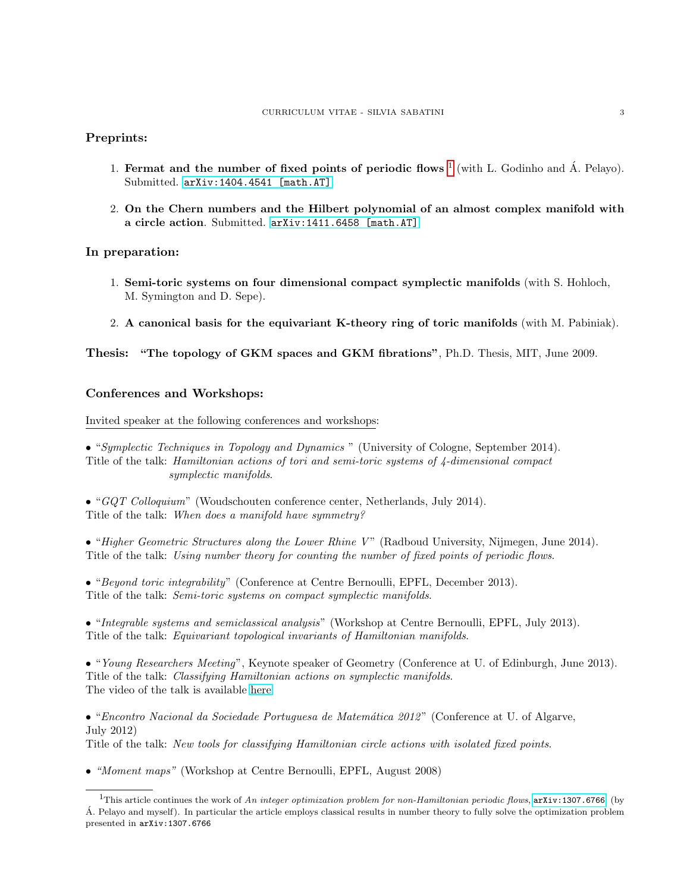#### Preprints:

- [1](#page-2-0). Fermat and the number of fixed points of periodic flows  $^1$  (with L. Godinho and Á. Pelayo). Submitted. [arXiv:1404.4541 \[math.AT\]](http://arxiv.org/pdf/1404.4541.pdf).
- 2. On the Chern numbers and the Hilbert polynomial of an almost complex manifold with a circle action. Submitted. [arXiv:1411.6458 \[math.AT\]](http://arxiv.org/abs/1411.6458)

#### In preparation:

- 1. Semi-toric systems on four dimensional compact symplectic manifolds (with S. Hohloch, M. Symington and D. Sepe).
- 2. A canonical basis for the equivariant K-theory ring of toric manifolds (with M. Pabiniak).

#### Thesis: "The topology of GKM spaces and GKM fibrations", Ph.D. Thesis, MIT, June 2009.

#### Conferences and Workshops:

Invited speaker at the following conferences and workshops:

• "Symplectic Techniques in Topology and Dynamics " (University of Cologne, September 2014). Title of the talk: Hamiltonian actions of tori and semi-toric systems of 4-dimensional compact symplectic manifolds.

• "GQT Colloquium" (Woudschouten conference center, Netherlands, July 2014). Title of the talk: When does a manifold have symmetry?

• "Higher Geometric Structures along the Lower Rhine V" (Radboud University, Nijmegen, June 2014). Title of the talk: Using number theory for counting the number of fixed points of periodic flows.

• "Beyond toric integrability" (Conference at Centre Bernoulli, EPFL, December 2013). Title of the talk: Semi-toric systems on compact symplectic manifolds.

• "Integrable systems and semiclassical analysis" (Workshop at Centre Bernoulli, EPFL, July 2013). Title of the talk: Equivariant topological invariants of Hamiltonian manifolds.

• "Young Researchers Meeting", Keynote speaker of Geometry (Conference at U. of Edinburgh, June 2013). Title of the talk: Classifying Hamiltonian actions on symplectic manifolds. The video of the talk is available [here.](http://www.dailymotion.com/video/x15z1kh_silvia-sabatini-yrm_tech)

• "Encontro Nacional da Sociedade Portuguesa de Matemática 2012" (Conference at U. of Algarve, July 2012)

Title of the talk: New tools for classifying Hamiltonian circle actions with isolated fixed points.

• "Moment maps" (Workshop at Centre Bernoulli, EPFL, August 2008)

<span id="page-2-0"></span><sup>&</sup>lt;sup>1</sup>This article continues the work of An integer optimization problem for non-Hamiltonian periodic flows,  $arX$ iv:1307.6766, (by A. Pelayo and myself). In particular the article employs classical results in number theory to fully solve the optimization problem ´ presented in arXiv:1307.6766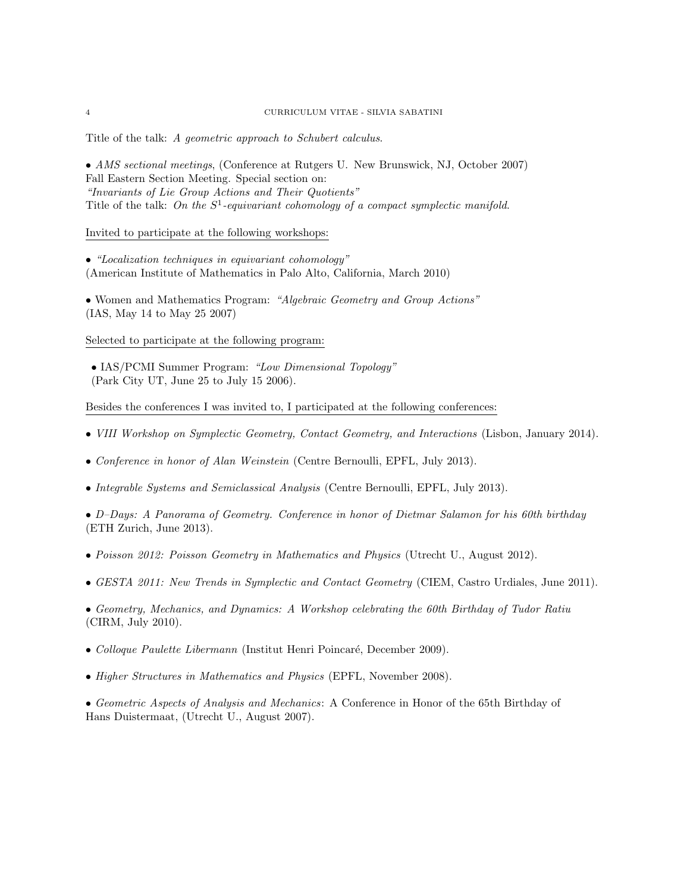Title of the talk: A geometric approach to Schubert calculus.

• AMS sectional meetings, (Conference at Rutgers U. New Brunswick, NJ, October 2007) Fall Eastern Section Meeting. Special section on: "Invariants of Lie Group Actions and Their Quotients" Title of the talk: On the  $S^1$ -equivariant cohomology of a compact symplectic manifold.

Invited to participate at the following workshops:

• "Localization techniques in equivariant cohomology" (American Institute of Mathematics in Palo Alto, California, March 2010)

• Women and Mathematics Program: "Algebraic Geometry and Group Actions" (IAS, May 14 to May 25 2007)

Selected to participate at the following program:

• IAS/PCMI Summer Program: "Low Dimensional Topology" (Park City UT, June 25 to July 15 2006).

Besides the conferences I was invited to, I participated at the following conferences:

- VIII Workshop on Symplectic Geometry, Contact Geometry, and Interactions (Lisbon, January 2014).
- Conference in honor of Alan Weinstein (Centre Bernoulli, EPFL, July 2013).
- Integrable Systems and Semiclassical Analysis (Centre Bernoulli, EPFL, July 2013).

• D–Days: A Panorama of Geometry. Conference in honor of Dietmar Salamon for his 60th birthday (ETH Zurich, June 2013).

- Poisson 2012: Poisson Geometry in Mathematics and Physics (Utrecht U., August 2012).
- GESTA 2011: New Trends in Symplectic and Contact Geometry (CIEM, Castro Urdiales, June 2011).
- Geometry, Mechanics, and Dynamics: A Workshop celebrating the 60th Birthday of Tudor Ratiu (CIRM, July 2010).
- Colloque Paulette Libermann (Institut Henri Poincaré, December 2009).
- Higher Structures in Mathematics and Physics (EPFL, November 2008).

• Geometric Aspects of Analysis and Mechanics: A Conference in Honor of the 65th Birthday of Hans Duistermaat, (Utrecht U., August 2007).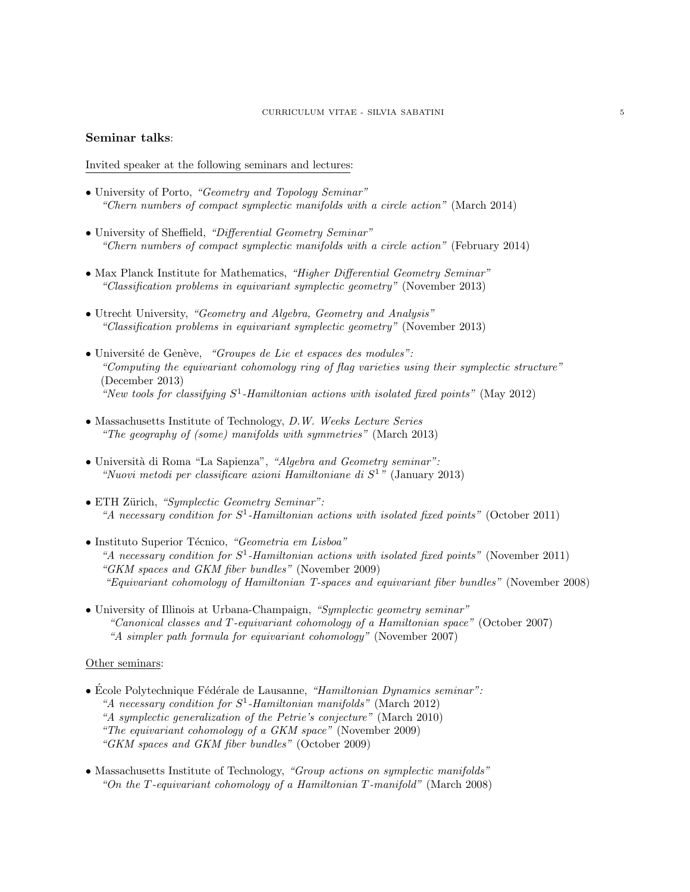#### CURRICULUM VITAE - SILVIA SABATINI 5

#### Seminar talks:

Invited speaker at the following seminars and lectures:

- University of Porto, "Geometry and Topology Seminar" "Chern numbers of compact symplectic manifolds with a circle action" (March 2014)
- University of Sheffield, "Differential Geometry Seminar" "Chern numbers of compact symplectic manifolds with a circle action" (February 2014)
- Max Planck Institute for Mathematics, "Higher Differential Geometry Seminar" "Classification problems in equivariant symplectic geometry" (November 2013)
- Utrecht University, "Geometry and Algebra, Geometry and Analysis" "Classification problems in equivariant symplectic geometry" (November 2013)
- Université de Genève, "Groupes de Lie et espaces des modules": "Computing the equivariant cohomology ring of flag varieties using their symplectic structure" (December 2013) "New tools for classifying  $S^1$ -Hamiltonian actions with isolated fixed points" (May 2012)
- Massachusetts Institute of Technology, D.W. Weeks Lecture Series "The geography of (some) manifolds with symmetries" (March 2013)
- Università di Roma "La Sapienza", "Algebra and Geometry seminar": "Nuovi metodi per classificare azioni Hamiltoniane di  $S^1$ " (January 2013)
- ETH Zürich, "Symplectic Geometry Seminar": "A necessary condition for  $S^1$ -Hamiltonian actions with isolated fixed points" (October 2011)
- Instituto Superior Técnico, "Geometria em Lisboa" "A necessary condition for  $S^1$ -Hamiltonian actions with isolated fixed points" (November 2011) "GKM spaces and GKM fiber bundles" (November 2009) "Equivariant cohomology of Hamiltonian T-spaces and equivariant fiber bundles" (November 2008)
- University of Illinois at Urbana-Champaign, "Symplectic geometry seminar" "Canonical classes and T-equivariant cohomology of a Hamiltonian space" (October 2007) "A simpler path formula for equivariant cohomology" (November 2007)

#### Other seminars:

- École Polytechnique Fédérale de Lausanne, "Hamiltonian Dynamics seminar": "A necessary condition for  $S^1$ -Hamiltonian manifolds" (March 2012) "A symplectic generalization of the Petrie's conjecture" (March 2010) "The equivariant cohomology of a GKM space" (November 2009) "GKM spaces and GKM fiber bundles" (October 2009)
- Massachusetts Institute of Technology, "Group actions on symplectic manifolds" "On the T-equivariant cohomology of a Hamiltonian T-manifold" (March 2008)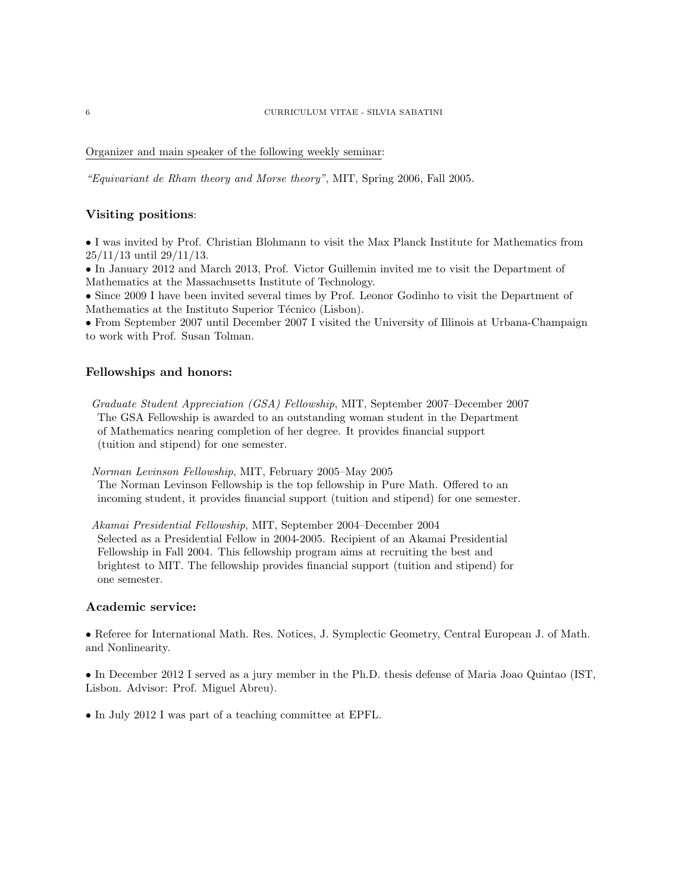Organizer and main speaker of the following weekly seminar:

"Equivariant de Rham theory and Morse theory", MIT, Spring 2006, Fall 2005.

#### Visiting positions:

• I was invited by Prof. Christian Blohmann to visit the Max Planck Institute for Mathematics from 25/11/13 until 29/11/13.

• In January 2012 and March 2013, Prof. Victor Guillemin invited me to visit the Department of Mathematics at the Massachusetts Institute of Technology.

• Since 2009 I have been invited several times by Prof. Leonor Godinho to visit the Department of Mathematics at the Instituto Superior Técnico (Lisbon).

• From September 2007 until December 2007 I visited the University of Illinois at Urbana-Champaign to work with Prof. Susan Tolman.

#### Fellowships and honors:

Graduate Student Appreciation (GSA) Fellowship, MIT, September 2007–December 2007 The GSA Fellowship is awarded to an outstanding woman student in the Department of Mathematics nearing completion of her degree. It provides financial support (tuition and stipend) for one semester.

Norman Levinson Fellowship, MIT, February 2005–May 2005

The Norman Levinson Fellowship is the top fellowship in Pure Math. Offered to an incoming student, it provides financial support (tuition and stipend) for one semester.

Akamai Presidential Fellowship, MIT, September 2004–December 2004 Selected as a Presidential Fellow in 2004-2005. Recipient of an Akamai Presidential Fellowship in Fall 2004. This fellowship program aims at recruiting the best and brightest to MIT. The fellowship provides financial support (tuition and stipend) for one semester.

#### Academic service:

• Referee for International Math. Res. Notices, J. Symplectic Geometry, Central European J. of Math. and Nonlinearity.

• In December 2012 I served as a jury member in the Ph.D. thesis defense of Maria Joao Quintao (IST, Lisbon. Advisor: Prof. Miguel Abreu).

• In July 2012 I was part of a teaching committee at EPFL.